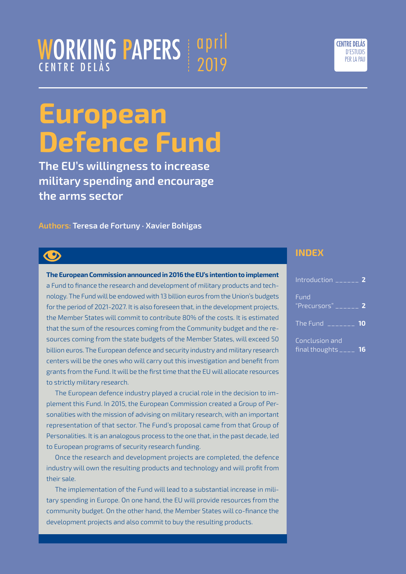# **European**

april

2019

WORKING PAPERS

CENTRE DELÀS

# **Defence Fund**

**The EU's willingness to increase military spending and encourage the arms sector**

**Authors: Teresa de Fortuny · Xavier Bohigas**

# $\bigcirc$

#### **The European Commission announced in 2016 the EU's intention to implement** a Fund to finance the research and development of military products and technology. The Fund will be endowed with 13 billion euros from the Union's budgets for the period of 2021-2027. It is also foreseen that, in the development projects, the Member States will commit to contribute 80% of the costs. It is estimated that the sum of the resources coming from the Community budget and the resources coming from the state budgets of the Member States, will exceed 50 billion euros. The European defence and security industry and military research centers will be the ones who will carry out this investigation and benefit from grants from the Fund. It will be the first time that the EU will allocate resources to strictly military research.

The European defence industry played a crucial role in the decision to implement this Fund. In 2015, the European Commission created a Group of Personalities with the mission of advising on military research, with an important representation of that sector. The Fund's proposal came from that Group of Personalities. It is an analogous process to the one that, in the past decade, led to European programs of security research funding.

Once the research and development projects are completed, the defence industry will own the resulting products and technology and will profit from their sale.

The implementation of the Fund will lead to a substantial increase in military spending in Europe. On one hand, the EU will provide resources from the community budget. On the other hand, the Member States will co-finance the development projects and also commit to buy the resulting products.

#### **INDEX**

| Introduction $\frac{1}{2}$                          |  |
|-----------------------------------------------------|--|
| Fund                                                |  |
| The Fund $\frac{1}{2}$ $\frac{1}{2}$ $\frac{10}{2}$ |  |
| Conclusion and<br>final thoughts $\frac{1}{2}$ 16   |  |

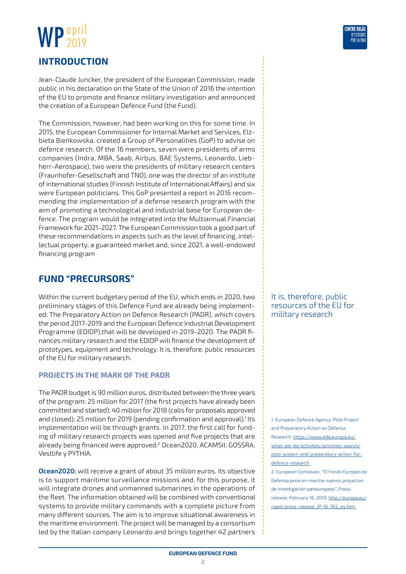## <span id="page-1-0"></span>WP<sup>april</sup> 2019 **Introduction**

Jean-Claude Juncker, the president of the European Commission, made public in his declaration on the State of the Union of 2016 the intention of the EU to promote and finance military investigation and announced the creation of a European Defence Fund (the Fund).

The Commission, however, had been working on this for some time. In 2015, the European Commissioner for Internal Market and Services, Elżbieta Bieńkowska, created a Group of Personalities (GoP) to advise on defence research. Of the 16 members, seven were presidents of arms companies (Indra, MBA, Saab, Airbus, BAE Systems, Leonardo, Liebherr-Aerospace), two were the presidents of military research centers (Fraunhofer-Gesellschaft and TNO), one was the director of an institute of international studies (Finnish Institute of International Affairs) and six were European politicians. This GoP presented a report in 2016 recommending the implementation of a defense research program with the aim of promoting a technological and industrial base for European defence. The program would be integrated into the Multiannual Financial Framework for 2021-2027. The European Commission took a good part of these recommendations in aspects such as the level of financing, intellectual property, a guaranteed market and, since 2021, a well-endowed financing program

#### **Fund "Precursors"**

Within the current budgetary period of the EU, which ends in 2020, two preliminary stages of this Defence Fund are already being implemented: The Preparatory Action on Defence Research (PADR), which covers the period 2017-2019 and the European Defence Industrial Development Programme (EDIDP),that will be developed in 2019-2020. The PADR finances military research and the EDIDP will finance the development of prototypes, equipment and technology. It is, therefore, public resources of the EU for military research.

#### **Projects in the mark of the PADR**

The PADR budget is 90 million euros, distributed between the three years of the program: 25 million for 2017 (the first projects have already been committed and started); 40 million for 2018 (calls for proposals approved and closed); 25 million for 2019 (pending confirmation and approval).<sup>1</sup> Its implementation will be through grants. In 2017, the first call for funding of military research projects was opened and five projects that are already being financed were approved:2 Ocean2020, ACAMSII, GOSSRA, Vestlife y PYTHIA.

**Ocean2020:** will receive a grant of about 35 million euros. Its objective is to support maritime surveillance missions and, for this purpose, it will integrate drones and unmanned submarines in the operations of the fleet. The information obtained will be combined with conventional systems to provide military commands with a complete picture from many different sources. The aim is to improve situational awareness in the maritime environment. The project will be managed by a consortium led by the Italian company Leonardo and brings together 42 partners

It is, therefore, public resources of the EU for military research

1. European Defence Agency. Pilot Project and Preparatory Action on Defence Research. [https://www.eda.europa.eu/](https://www.eda.europa.eu/what-we-do/activities/activities-search/pilot-project-and-preparatory-action-for-defence-research) [what-we-do/activities/activities-search/](https://www.eda.europa.eu/what-we-do/activities/activities-search/pilot-project-and-preparatory-action-for-defence-research) [pilot-project-and-preparatory-action-for](https://www.eda.europa.eu/what-we-do/activities/activities-search/pilot-project-and-preparatory-action-for-defence-research)[defence-research](https://www.eda.europa.eu/what-we-do/activities/activities-search/pilot-project-and-preparatory-action-for-defence-research) 

2. European Comission, "El Fondo Europeo de Defensa pone en marcha nuevos proyectos de investigación paneuropeos", Pressrelease, February 16, 2018. [http://europa.eu/](http://europa.eu/rapid/press-release_IP-18-763_es.htm) [rapid/press-release\\_IP-18-763\\_es.htm](http://europa.eu/rapid/press-release_IP-18-763_es.htm)

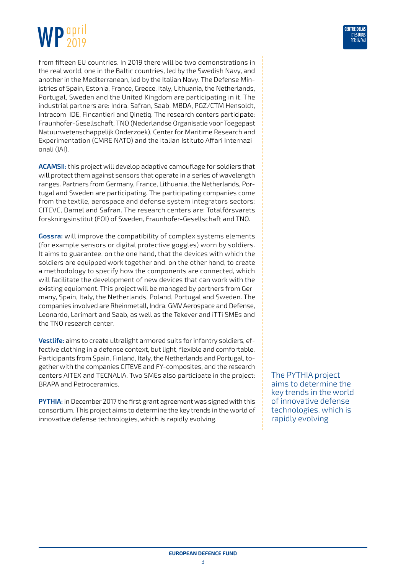#### WP april 2019

from fifteen EU countries. In 2019 there will be two demonstrations in the real world, one in the Baltic countries, led by the Swedish Navy, and another in the Mediterranean, led by the Italian Navy. The Defense Ministries of Spain, Estonia, France, Greece, Italy, Lithuania, the Netherlands, Portugal, Sweden and the United Kingdom are participating in it. The industrial partners are: Indra, Safran, Saab, MBDA, PGZ/CTM Hensoldt, Intracom-IDE, Fincantieri and Qinetiq. The research centers participate: Fraunhofer-Gesellschaft, TNO (Nederlandse Organisatie voor Toegepast Natuurwetenschappelijk Onderzoek), Center for Maritime Research and Experimentation (CMRE NATO) and the Italian Istituto Affari Internazionali (IAI).

**ACAMSII:** this project will develop adaptive camouflage for soldiers that will protect them against sensors that operate in a series of wavelength ranges. Partners from Germany, France, Lithuania, the Netherlands, Portugal and Sweden are participating. The participating companies come from the textile, aerospace and defense system integrators sectors: CITEVE, Damel and Safran. The research centers are: Totalförsvarets forskningsinstitut (FOI) of Sweden, Fraunhofer-Gesellschaft and TNO.

**Gossra:** will improve the compatibility of complex systems elements (for example sensors or digital protective goggles) worn by soldiers. It aims to guarantee, on the one hand, that the devices with which the soldiers are equipped work together and, on the other hand, to create a methodology to specify how the components are connected, which will facilitate the development of new devices that can work with the existing equipment. This project will be managed by partners from Germany, Spain, Italy, the Netherlands, Poland, Portugal and Sweden. The companies involved are Rheinmetall, Indra, GMV Aerospace and Defense, Leonardo, Larimart and Saab, as well as the Tekever and iTTi SMEs and the TNO research center.

**Vestlife:** aims to create ultralight armored suits for infantry soldiers, effective clothing in a defense context, but light, flexible and comfortable. Participants from Spain, Finland, Italy, the Netherlands and Portugal, together with the companies CITEVE and FY-composites, and the research centers AITEX and TECNALIA. Two SMEs also participate in the project: BRAPA and Petroceramics.

**PYTHIA:** in December 2017 the first grant agreement was signed with this consortium. This project aims to determine the key trends in the world of innovative defense technologies, which is rapidly evolving.

The PYTHIA project aims to determine the key trends in the world of innovative defense technologies, which is rapidly evolving

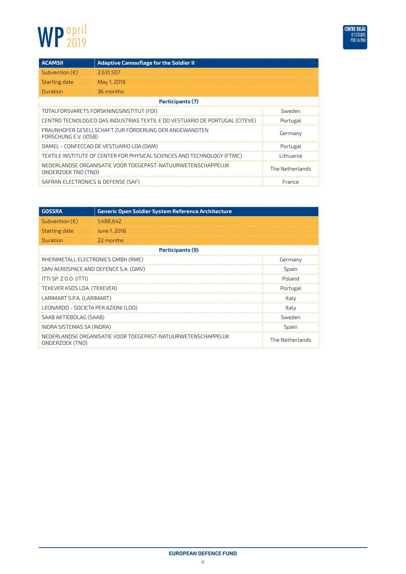

| <b>ACAMSII</b>                     | <b>Adaptive Camouflage for the Soldier II</b>                                |                 |
|------------------------------------|------------------------------------------------------------------------------|-----------------|
| Subvention $(\epsilon)$            | 2,631,507                                                                    |                 |
| Starting date                      | May 1, 2018                                                                  |                 |
| Duration                           | 36 months                                                                    |                 |
|                                    | Participants (7)                                                             |                 |
|                                    | TOTALFORSVARETS FORSKNINGSINSTITUT (FOI)                                     | Sweden          |
|                                    | CENTRO TECNOLOGICO DAS INDUSTRIAS TEXTIL E DO VESTUARIO DE PORTUGAL (CITEVE) | Portugal        |
| FORSCHUNG E.V. (IOSB)              | FRAUNHOFER GESELLSCHAFT ZUR FÖRDERUNG DER ANGEWANDTEN                        | Germany         |
|                                    | DAMEL - CONFECCAO DE VESTUARIO LDA (DAM)                                     | Portugal        |
|                                    | TEXTILE INSTITUTE OF CENTER FOR PHYSICAL SCIENCES AND TECHNOLOGY (FTMC)      | Lithuania       |
| ONDERZOEK TNO (TNO)                | NEDERLANDSE ORGANISATIE VOOR TOEGEPAST-NATUURWETENSCHAPPELIJK                | The Netherlands |
| SAFRAN ELECTRONICS & DEFENSE (SAF) |                                                                              | France          |

| <b>GOSSRA</b>                        | Generic Open Soldier System Reference Architecture            |                 |
|--------------------------------------|---------------------------------------------------------------|-----------------|
| Subvention $(\epsilon)$              | 1,488,642                                                     |                 |
| Starting date                        | June 1, 2018                                                  |                 |
| Duration                             | 22 months                                                     |                 |
|                                      | Participants (9)                                              |                 |
| RHEINMETALL ELECTRONICS GMBH (RME)   |                                                               | Germany         |
| GMV AEROSPACE AND DEFENCE S.A. (GMV) |                                                               | Spain           |
| ITTI SP. Z 0.0. (ITTI)               |                                                               | Poland          |
| TEKEVER ASDS LDA. (TEKEVER)          |                                                               | Portugal        |
| LARIMART S.P.A. (LARIMART)           |                                                               | Italy           |
| LEONARDO - SOCIETA PER AZIONI (LDO)  |                                                               | Italy           |
| SAAB AKTIEBOLAG (SAAB)               |                                                               | Sweden          |
| INDRA SISTEMAS SA (INDRA)            |                                                               | Spain           |
| ONDERZOEK (TNO)                      | NEDERLANDSE ORGANISATIE VOOR TOEGEPAST-NATUURWETENSCHAPPELIJK | The Netherlands |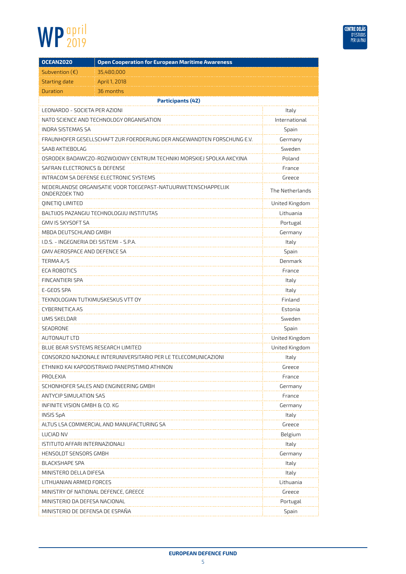

| <b>OCEAN2020</b>                         | <b>Open Cooperation for European Maritime Awareness</b>               |                 |
|------------------------------------------|-----------------------------------------------------------------------|-----------------|
| Subvention $(\epsilon)$                  | 35,480,000                                                            |                 |
| <b>Starting date</b>                     | April 1, 2018                                                         |                 |
| Duration                                 | 36 months                                                             |                 |
|                                          | <b>Participants (42)</b>                                              |                 |
| LEONARDO - SOCIETA PER AZIONI            |                                                                       | Italy           |
|                                          | NATO SCIENCE AND TECHNOLOGY ORGANISATION                              | International   |
| <b>INDRA SISTEMAS SA</b>                 |                                                                       | Spain           |
|                                          | FRAUNHOFER GESELLSCHAFT ZUR FOERDERUNG DER ANGEWANDTEN FORSCHUNG E.V. | Germany         |
| SAAB AKTIEBOLAG                          |                                                                       | Sweden          |
|                                          | OSRODEK BADAWCZO-ROZWOJOWY CENTRUM TECHNIKI MORSKIEJ SPOLKA AKCYJNA   | Poland          |
| SAFRAN ELECTRONICS & DEFENSE             |                                                                       | France          |
|                                          | INTRACOM SA DEFENSE ELECTRONIC SYSTEMS                                | Greece          |
| ONDERZOEK TNO                            | NEDERLANDSE ORGANISATIE VOOR TOEGEPAST-NATUURWETENSCHAPPELIJK         | The Netherlands |
| QINETIQ LIMITED                          |                                                                       | United Kingdom  |
|                                          | BALTIJOS PAZANGIU TECHNOLOGIJU INSTITUTAS                             | Lithuania       |
| GMV IS SKYSOFT SA                        |                                                                       | Portugal        |
| MBDA DEUTSCHLAND GMBH                    |                                                                       | Germany         |
| I.D.S. - INGEGNERIA DEI SISTEMI - S.P.A. |                                                                       | Italy           |
| GMV AEROSPACE AND DEFENCE SA             |                                                                       | Spain           |
| TERMA A/S                                |                                                                       | Denmark         |
| <b>ECA ROBOTICS</b>                      |                                                                       | France          |
| FINCANTIERI SPA                          |                                                                       | Italy           |
| E-GEOS SPA                               |                                                                       | Italy           |
| TEKNOLOGIAN TUTKIMUSKESKUS VTT OY        |                                                                       | Finland         |
| CYBERNETICA AS                           |                                                                       | Estonia         |
| UMS SKELDAR                              |                                                                       | Sweden          |
| SEADRONE                                 |                                                                       | Spain           |
| AUTONAUT LTD                             |                                                                       | United Kingdom  |
| BLUE BEAR SYSTEMS RESEARCH LIMITED       |                                                                       | United Kingdom  |
|                                          | CONSORZIO NAZIONALE INTERUNIVERSITARIO PER LE TELECOMUNICAZIONI       | Italy           |
|                                          | ETHNIKO KAI KAPODISTRIAKO PANEPISTIMIO ATHINON                        | Greece          |
| PROLEXIA                                 |                                                                       | France          |
|                                          | SCHONHOFER SALES AND ENGINEERING GMBH                                 | Germany         |
| ANTYCIP SIMULATION SAS                   |                                                                       | France          |
| INFINITE VISION GMBH & CO. KG            |                                                                       | Germany         |
| <b>INSIS SpA</b>                         |                                                                       | Italy           |
|                                          | ALTUS LSA COMMERCIAL AND MANUFACTURING SA                             | Greece          |
| LUCIAD NV                                |                                                                       | Belgium         |
| ISTITUTO AFFARI INTERNAZIONALI           |                                                                       | Italy           |
| HENSOLDT SENSORS GMBH                    |                                                                       | Germany         |
| <b>BLACKSHAPE SPA</b>                    |                                                                       | Italy           |
| MINISTERO DELLA DIFESA                   |                                                                       | Italy           |
| LITHUANIAN ARMED FORCES                  |                                                                       | Lithuania       |
| MINISTRY OF NATIONAL DEFENCE, GREECE     |                                                                       | Greece          |
| MINISTERIO DA DEFESA NACIONAL            |                                                                       | Portugal        |
| MINISTERIO DE DEFENSA DE ESPAÑA          |                                                                       | Spain           |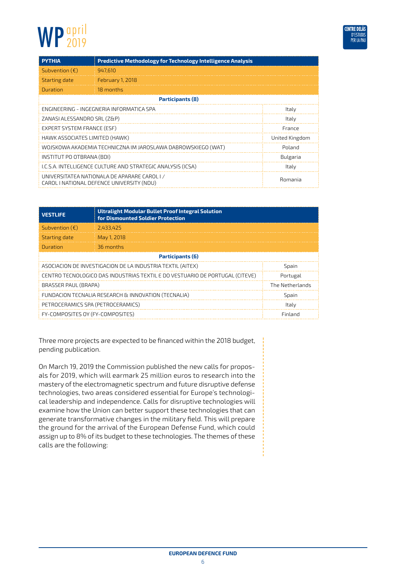| <b>PYTHIA</b>                  | <b>Predictive Methodology for Technology Intelligence Analysis</b>                       |                |
|--------------------------------|------------------------------------------------------------------------------------------|----------------|
| Subvention $(\epsilon)$        | 947.610                                                                                  |                |
| Starting date                  | February 1, 2018                                                                         |                |
| Duration                       | 18 months                                                                                |                |
|                                | Participants (8)                                                                         |                |
|                                | ENGINEERING - INGEGNERIA INFORMATICA SPA                                                 | Italy          |
| ZANASI ALESSANDRO SRL (Z&P)    |                                                                                          | Italy          |
| EXPERT SYSTEM FRANCE (ESF)     |                                                                                          | France         |
| HAWK ASSOCIATES LIMITED (HAWK) |                                                                                          | United Kingdom |
|                                | WOJSKOWA AKADEMIA TECHNICZNA IM JAROSLAWA DABROWSKIEGO (WAT)                             | Poland         |
| INSTITUT PO OTBRANA (BDI)      |                                                                                          | Bulgaria       |
|                                | I.C.S.A. INTELLIGENCE CULTURE AND STRATEGIC ANALYSIS (ICSA)                              | Italy          |
|                                | UNIVERSITATEA NATIONALA DE APARARE CAROLI /<br>CAROL I NATIONAL DEFENCE UNIVERSITY (NDU) | Romania        |

| <b>VESTLIFE</b>                                                                          | <b>Ultralight Modular Bullet Proof Integral Solution</b><br>for Dismounted Soldier Protection |                 |
|------------------------------------------------------------------------------------------|-----------------------------------------------------------------------------------------------|-----------------|
| Subvention $(\epsilon)$                                                                  | 2.433.425                                                                                     |                 |
| Starting date                                                                            | May 1, 2018                                                                                   |                 |
| Duration                                                                                 | 36 months                                                                                     |                 |
| Participants (6)                                                                         |                                                                                               |                 |
| ASOCIACION DE INVESTIGACION DE LA INDUSTRIA TEXTIL (AITEX)<br>Spain                      |                                                                                               |                 |
| CENTRO TECNOLOGICO DAS INDUSTRIAS TEXTIL E DO VESTUARIO DE PORTUGAL (CITEVE)<br>Portugal |                                                                                               |                 |
| BRASSER PAUL (BRAPA)                                                                     |                                                                                               | The Netherlands |
|                                                                                          | FUNDACION TECNALIA RESEARCH & INNOVATION (TECNALIA)                                           | Spain           |
| PETROCERAMICS SPA (PETROCERAMICS)                                                        |                                                                                               | Italy           |
| FY-COMPOSITES OY (FY-COMPOSITES)                                                         |                                                                                               | Finland         |

Three more projects are expected to be financed within the 2018 budget, pending publication.

On March 19, 2019 the Commission published the new calls for proposals for 2019, which will earmark 25 million euros to research into the mastery of the electromagnetic spectrum and future disruptive defense technologies, two areas considered essential for Europe's technological leadership and independence. Calls for disruptive technologies will examine how the Union can better support these technologies that can generate transformative changes in the military field. This will prepare the ground for the arrival of the European Defense Fund, which could assign up to 8% of its budget to these technologies. The themes of these calls are the following: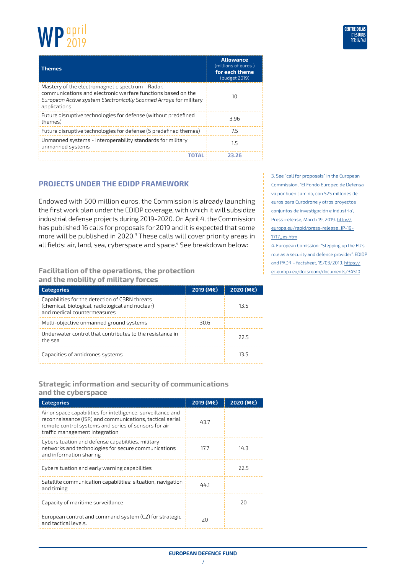

| <b>Themes</b>                                                                                                                                                                                         | <b>Allowance</b><br>(millions of euros)<br>for each theme<br>(budget 2019) |
|-------------------------------------------------------------------------------------------------------------------------------------------------------------------------------------------------------|----------------------------------------------------------------------------|
| Mastery of the electromagnetic spectrum - Radar,<br>communications and electronic warfare functions based on the<br>European Active system Electronically Scanned Arrays for military<br>applications | 10                                                                         |
| Future disruptive technologies for defense (without predefined<br>themes)                                                                                                                             | 3.96                                                                       |
| Future disruptive technologies for defense (5 predefined themes)                                                                                                                                      | 7.5                                                                        |
| Unmanned systems - Interoperability standards for military<br>unmanned systems                                                                                                                        | 1.5                                                                        |
| TOTAL                                                                                                                                                                                                 | 23.26                                                                      |

#### **Projects under the EDIDP framework**

Endowed with 500 million euros, the Commission is already launching the first work plan under the EDIDP coverage, with which it will subsidize industrial defense projects during 2019-2020. On April 4, the Commission has published 16 calls for proposals for 2019 and it is expected that some more will be published in 2020.<sup>3</sup> These calls will cover priority areas in all fields: air, land, sea, cyberspace and space.<sup>4</sup> See breakdown below:

#### **Facilitation of the operations, the protection and the mobility of military forces**

| <b>Categories</b>                                                                                                                 | 2019 (M€) | 2020 (M€) |
|-----------------------------------------------------------------------------------------------------------------------------------|-----------|-----------|
| Capabilities for the detection of CBRN threats<br>(chemical, biological, radiological and nuclear)<br>and medical countermeasures |           | 13.5      |
| Multi-objective unmanned ground systems                                                                                           | 30.6      |           |
| Underwater control that contributes to the resistance in<br>the sea                                                               |           | 22 5      |
| Capacities of antidrones systems                                                                                                  |           | 13.5      |

#### **Strategic information and security of communications and the cyberspace**

| <b>Categories</b>                                                                                                                                                                                                  | 2019 (M€) | 2020 (M€) |
|--------------------------------------------------------------------------------------------------------------------------------------------------------------------------------------------------------------------|-----------|-----------|
| Air or space capabilities for intelligence, surveillance and<br>reconnaissance (ISR) and communications, tactical aerial<br>remote control systems and series of sensors for air<br>traffic management integration | 43.7      |           |
| Cybersituation and defense capabilities, military<br>networks and technologies for secure communications<br>and information sharing                                                                                | 17.7      | 14.3      |
| Cybersituation and early warning capabilities                                                                                                                                                                      |           | 22.5      |
| Satellite communication capabilities: situation, navigation<br>and timing                                                                                                                                          | 44.1      |           |
| Capacity of maritime surveillance                                                                                                                                                                                  |           | 20        |
| European control and command system (C2) for strategic<br>and tactical levels.                                                                                                                                     | 20        |           |

3. See "call for proposals" in the European Commission, "El Fondo Europeo de Defensa va por buen camino, con 525 millones de euros para Eurodrone y otros proyectos conjuntos de investigación e industria", Press-release, March 19, 2019. [http://](http://europa.eu/rapid/press-release_IP-19-1717_es.htm) [europa.eu/rapid/press-release\\_IP-19-](http://europa.eu/rapid/press-release_IP-19-1717_es.htm) [1717\\_es.htm](http://europa.eu/rapid/press-release_IP-19-1717_es.htm)

4. European Comission; "Stepping up the EU's role as a security and defence provider". EDIDP and PADR – factsheet, 19/03/2019. [https://](https://ec.europa.eu/docsroom/documents/34510) [ec.europa.eu/docsroom/documents/34510](https://ec.europa.eu/docsroom/documents/34510)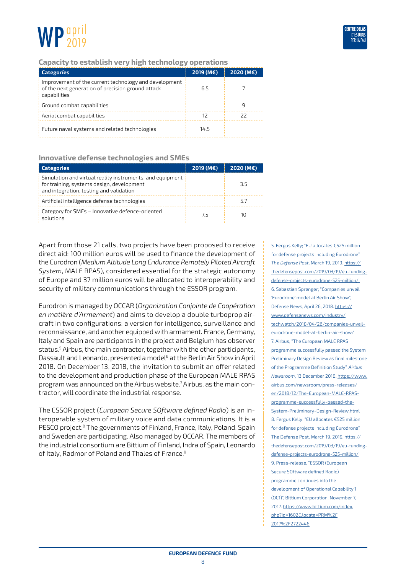



#### **Capacity to establish very high technology operations**

| <b>Categoríes</b>                                                                                                          | $2019 (M\epsilon)$ | 2020 (M€) |
|----------------------------------------------------------------------------------------------------------------------------|--------------------|-----------|
| Improvement of the current technology and development<br>of the next generation of precision ground attack<br>capabilities | 6.5                |           |
| Ground combat capabilities                                                                                                 |                    |           |
| Aerial combat capabilities                                                                                                 |                    | 77        |
| Future naval systems and related technologies                                                                              | 14.5               |           |

#### **Innovative defense technologies and SMEs**

| <b>Categories</b>                                                                                                                                 | 2019 (M€) | 2020 (M€) |
|---------------------------------------------------------------------------------------------------------------------------------------------------|-----------|-----------|
| Simulation and virtual reality instruments, and equipment<br>for training, systems design, development<br>and integration, testing and validation |           | 3.5       |
| Artificial intelligence defense technologies                                                                                                      |           | 57        |
| Category for SMEs - Innovative defence-oriented<br>solutions                                                                                      | 7.5       | 10        |

Apart from those 21 calls, two projects have been proposed to receive direct aid: 100 million euros will be used to finance the development of the Eurodron (*Medium Altitude Long Endurance Remotely Piloted Aircraft System*, MALE RPAS), considered essential for the strategic autonomy of Europe and 37 million euros will be allocated to interoperability and security of military communications through the ESSOR program.

Eurodron is managed by OCCAR (*Organization Conjointe de Coopération en matière d'Armement*) and aims to develop a double turboprop aircraft in two configurations: a version for intelligence, surveillance and reconnaissance, and another equipped with armament. France, Germany, Italy and Spain are participants in the project and Belgium has observer status.5 Airbus, the main contractor, together with the other participants, Dassault and Leonardo, presented a model<sup>6</sup> at the Berlin Air Show in April 2018. On December 13, 2018, the invitation to submit an offer related to the development and production phase of the European MALE RPAS program was announced on the Airbus website.7 Airbus, as the main contractor, will coordinate the industrial response.

The ESSOR project (*European Secure SOftware defined Radio*) is an interoperable system of military voice and data communications. It is a PESCO project.<sup>8</sup> The governments of Finland, France, Italy, Poland, Spain and Sweden are participating. Also managed by OCCAR. The members of the industrial consortium are Bittium of Finland, Indra of Spain, Leonardo of Italy, Radmor of Poland and Thales of France.<sup>9</sup>

5. Fergus Kelly; "EU allocates €525 million for defense projects including Eurodrone", *The Defense Post*, March 19, 2019. [https://](https://thedefensepost.com/2019/03/19/eu-funding-defense-projects-eurodrone-525-million/) [thedefensepost.com/2019/03/19/eu-funding](https://thedefensepost.com/2019/03/19/eu-funding-defense-projects-eurodrone-525-million/)[defense-projects-eurodrone-525-million/](https://thedefensepost.com/2019/03/19/eu-funding-defense-projects-eurodrone-525-million/)  6. Sebastian Sprenger; "Companies unveil 'Eurodrone' model at Berlin Air Show", Defense News, April 26, 2018. [https://](https://www.defensenews.com/industry/techwatch/2018/04/26/companies-unveil-eurodrone-model-at-berlin-air-show/) [www.defensenews.com/industry/](https://www.defensenews.com/industry/techwatch/2018/04/26/companies-unveil-eurodrone-model-at-berlin-air-show/) [techwatch/2018/04/26/companies-unveil](https://www.defensenews.com/industry/techwatch/2018/04/26/companies-unveil-eurodrone-model-at-berlin-air-show/)[eurodrone-model-at-berlin-air-show/](https://www.defensenews.com/industry/techwatch/2018/04/26/companies-unveil-eurodrone-model-at-berlin-air-show/) 7. Airbus, "The European MALE RPAS programme successfully passed the System Preliminary Design Review as final milestone of the Programme Definition Study", *Airbus Newsroom*, 13 December 2018. [https://www.](https://www.airbus.com/newsroom/press-releases/en/2018/12/The-European-MALE-RPAS-programme-successfully-passed-the-System-Preliminary-Design-Review.html) [airbus.com/newsroom/press-releases/](https://www.airbus.com/newsroom/press-releases/en/2018/12/The-European-MALE-RPAS-programme-successfully-passed-the-System-Preliminary-Design-Review.html) [en/2018/12/The-European-MALE-RPAS](https://www.airbus.com/newsroom/press-releases/en/2018/12/The-European-MALE-RPAS-programme-successfully-passed-the-System-Preliminary-Design-Review.html)[programme-successfully-passed-the-](https://www.airbus.com/newsroom/press-releases/en/2018/12/The-European-MALE-RPAS-programme-successfully-passed-the-System-Preliminary-Design-Review.html)[System-Preliminary-Design-Review.html](https://www.airbus.com/newsroom/press-releases/en/2018/12/The-European-MALE-RPAS-programme-successfully-passed-the-System-Preliminary-Design-Review.html) 8. Fergus Kelly; "EU allocates €525 million for defense projects including Eurodrone", The Defense Post, March 19, 2019. [https://](https://thedefensepost.com/2019/03/19/eu-funding-defense-projects-eurodrone-525-million/) [thedefensepost.com/2019/03/19/eu-funding](https://thedefensepost.com/2019/03/19/eu-funding-defense-projects-eurodrone-525-million/)[defense-projects-eurodrone-525-million/](https://thedefensepost.com/2019/03/19/eu-funding-defense-projects-eurodrone-525-million/) 9. Press-release, "ESSOR (Furopean) Secure SOftware defined Radio) programme continues into the development of Operational Capability 1 (OC1)", Bittium Corporation, November 7, 2017. [https://www.bittium.com/index.](https://www.bittium.com/index.php?id=1602&locate=PRM%2F2017%2F2722446) [php?id=1602&locate=PRM%2F](https://www.bittium.com/index.php?id=1602&locate=PRM%2F2017%2F2722446) [2017%2F2722446](https://www.bittium.com/index.php?id=1602&locate=PRM%2F2017%2F2722446)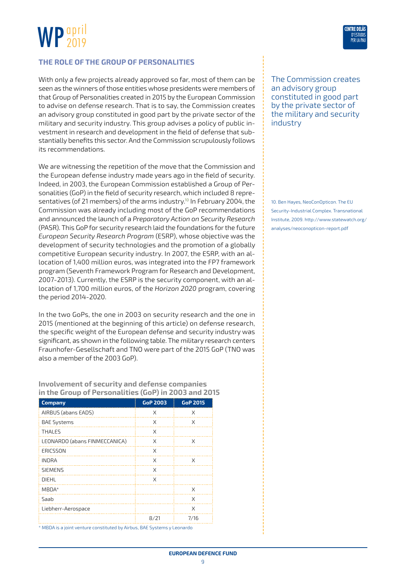

#### **The role of the Group of Personalities**

With only a few projects already approved so far, most of them can be seen as the winners of those entities whose presidents were members of that Group of Personalities created in 2015 by the European Commission to advise on defense research. That is to say, the Commission creates an advisory group constituted in good part by the private sector of the military and security industry. This group advises a policy of public investment in research and development in the field of defense that substantially benefits this sector. And the Commission scrupulously follows its recommendations.

We are witnessing the repetition of the move that the Commission and the European defense industry made years ago in the field of security. Indeed, in 2003, the European Commission established a Group of Personalities (GoP) in the field of security research, which included 8 representatives (of 21 members) of the arms industry.<sup>10</sup> In February 2004, the Commission was already including most of the GoP recommendations and announced the launch of a *Preparatory Action on Security Research* (PASR). This GoP for security research laid the foundations for the future *European Security Research Program* (ESRP), whose objective was the development of security technologies and the promotion of a globally competitive European security industry. In 2007, the ESRP, with an allocation of 1,400 million euros, was integrated into the FP7 framework program (Seventh Framework Program for Research and Development, 2007-2013). Currently, the ESRP is the security component, with an allocation of 1,700 million euros, of the *Horizon 2020* program, covering the period 2014-2020.

In the two GoPs, the one in 2003 on security research and the one in 2015 (mentioned at the beginning of this article) on defense research, the specific weight of the European defense and security industry was significant, as shown in the following table. The military research centers Fraunhofer-Gesellschaft and TNO were part of the 2015 GoP (TNO was also a member of the 2003 GoP).

**Involvement of security and defense companies in the Group of Personalities (GoP) in 2003 and 2015**

| <b>Company</b>                | <b>GoP 2003</b> | <b>GoP 2015</b> |
|-------------------------------|-----------------|-----------------|
| AIRBUS (abans EADS)           | X               | X               |
| <b>BAE Systems</b>            | X               | X               |
| <b>THALES</b>                 | X               |                 |
| LEONARDO (abans FINMECCANICA) | X               | X               |
| ERICSSON                      | X               |                 |
| <b>INDRA</b>                  | X               | X               |
| <b>SIEMENS</b>                | X               |                 |
| DIEHL                         | X               |                 |
| $MBDA*$                       |                 | X               |
| Saah                          |                 | X               |
| Liebherr-Aerospace            |                 | X               |
|                               | 8/21            | 7/16            |

\* MBDA is a joint venture constituted by Airbus, BAE Systems y Leonardo



The Commission creates an advisory group constituted in good part by the private sector of the military and security industry

10. Ben Hayes, NeoConOpticon. The EU Security-Industrial Complex. Transnational Institute, 2009. [http://www.statewatch.org/](http://www.statewatch.org/analyses/neoconopticon-report.pdf) [analyses/neoconopticon-report.pdf](http://www.statewatch.org/analyses/neoconopticon-report.pdf)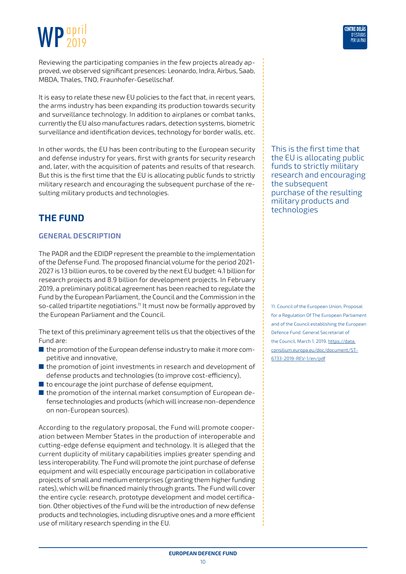#### <span id="page-9-0"></span> WP april 2019

Reviewing the participating companies in the few projects already approved, we observed significant presences: Leonardo, Indra, Airbus, Saab, MBDA, Thales, TNO, Fraunhofer-Gesellschaf.

It is easy to relate these new EU policies to the fact that, in recent years, the arms industry has been expanding its production towards security and surveillance technology. In addition to airplanes or combat tanks, currently the EU also manufactures radars, detection systems, biometric surveillance and identification devices, technology for border walls, etc.

In other words, the EU has been contributing to the European security and defense industry for years, first with grants for security research and, later, with the acquisition of patents and results of that research. But this is the first time that the EU is allocating public funds to strictly military research and encouraging the subsequent purchase of the resulting military products and technologies.

### **The Fund**

#### **General Description**

The PADR and the EDIDP represent the preamble to the implementation of the Defense Fund. The proposed financial volume for the period 2021- 2027 is 13 billion euros, to be covered by the next EU budget: 4.1 billion for research projects and 8.9 billion for development projects. In February 2019, a preliminary political agreement has been reached to regulate the Fund by the European Parliament, the Council and the Commission in the so-called tripartite negotiations.<sup>11</sup> It must now be formally approved by the European Parliament and the Council.

The text of this preliminary agreement tells us that the objectives of the Fund are:

- the promotion of the European defense industry to make it more competitive and innovative,
- $\blacksquare$  the promotion of joint investments in research and development of defense products and technologies (to improve cost-efficiency),
- $\blacksquare$  to encourage the joint purchase of defense equipment,
- the promotion of the internal market consumption of European defense technologies and products (which will increase non-dependence on non-European sources).

According to the regulatory proposal, the Fund will promote cooperation between Member States in the production of interoperable and cutting-edge defense equipment and technology. It is alleged that the current duplicity of military capabilities implies greater spending and less interoperability. The Fund will promote the joint purchase of defense equipment and will especially encourage participation in collaborative projects of small and medium enterprises (granting them higher funding rates), which will be financed mainly through grants. The Fund will cover the entire cycle: research, prototype development and model certification. Other objectives of the Fund will be the introduction of new defense products and technologies, including disruptive ones and a more efficient use of military research spending in the EU.

This is the first time that the EU is allocating public funds to strictly military research and encouraging the subsequent purchase of the resulting military products and technologies

11. Council of the European Union, Proposal for a Regulation Of The European Parliament and of the Council establishing the European Defence Fund. General Secretariat of the Council, March 1, 2019. [https://data.](https://data.consilium.europa.eu/doc/document/ST-6733-2019-REV-1/en/pdf) [consilium.europa.eu/doc/document/ST-](https://data.consilium.europa.eu/doc/document/ST-6733-2019-REV-1/en/pdf)[6733-2019-REV-1/en/pdf](https://data.consilium.europa.eu/doc/document/ST-6733-2019-REV-1/en/pdf)

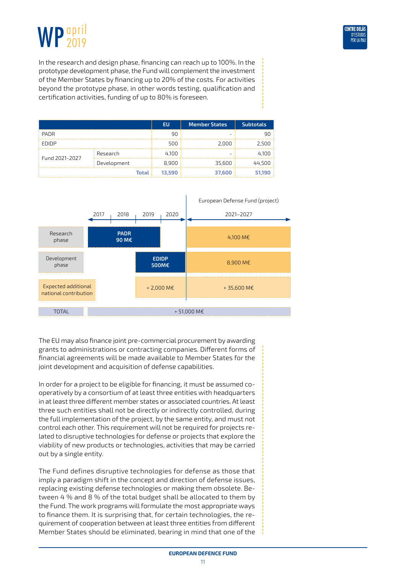



In the research and design phase, financing can reach up to 100%. In the prototype development phase, the Fund will complement the investment of the Member States by financing up to 20% of the costs. For activities beyond the prototype phase, in other words testing, qualification and certification activities, funding of up to 80% is foreseen.

|                |             | <b>EU</b> | <b>Member States</b> | <b>Subtotals</b> |
|----------------|-------------|-----------|----------------------|------------------|
| <b>PADR</b>    |             | 90        |                      | 90               |
| EDIDP          |             | 500       | 2.000                | 2.500            |
| Fund 2021-2027 | Research    | 4.100     |                      | 4.100            |
|                | Development | 8,900     | 35,600               | 44.500           |
| <b>Total</b>   |             | 13.590    | 37,600               | 51.190           |



The EU may also finance joint pre-commercial procurement by awarding grants to administrations or contracting companies. Different forms of financial agreements will be made available to Member States for the joint development and acquisition of defense capabilities.

In order for a project to be eligible for financing, it must be assumed cooperatively by a consortium of at least three entities with headquarters in at least three different member states or associated countries. At least three such entities shall not be directly or indirectly controlled, during the full implementation of the project, by the same entity, and must not control each other. This requirement will not be required for projects related to disruptive technologies for defense or projects that explore the viability of new products or technologies, activities that may be carried out by a single entity.

The Fund defines disruptive technologies for defense as those that imply a paradigm shift in the concept and direction of defense issues, replacing existing defense technologies or making them obsolete. Between 4 % and 8 % of the total budget shall be allocated to them by the Fund. The work programs will formulate the most appropriate ways to finance them. It is surprising that, for certain technologies, the requirement of cooperation between at least three entities from different Member States should be eliminated, bearing in mind that one of the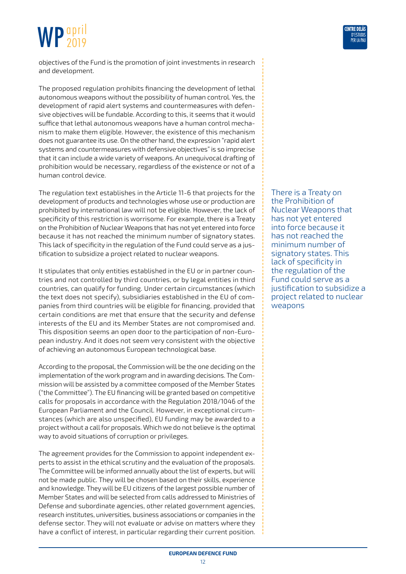objectives of the Fund is the promotion of joint investments in research and development.

The proposed regulation prohibits financing the development of lethal autonomous weapons without the possibility of human control. Yes, the development of rapid alert systems and countermeasures with defensive objectives will be fundable. According to this, it seems that it would suffice that lethal autonomous weapons have a human control mechanism to make them eligible. However, the existence of this mechanism does not guarantee its use. On the other hand, the expression "rapid alert systems and countermeasures with defensive objectives" is so imprecise that it can include a wide variety of weapons. An unequivocal drafting of prohibition would be necessary, regardless of the existence or not of a human control device.

The regulation text establishes in the Article 11-6 that projects for the development of products and technologies whose use or production are prohibited by international law will not be eligible. However, the lack of specificity of this restriction is worrisome. For example, there is a Treaty on the Prohibition of Nuclear Weapons that has not yet entered into force because it has not reached the minimum number of signatory states. This lack of specificity in the regulation of the Fund could serve as a justification to subsidize a project related to nuclear weapons.

It stipulates that only entities established in the EU or in partner countries and not controlled by third countries, or by legal entities in third countries, can qualify for funding. Under certain circumstances (which the text does not specify), subsidiaries established in the EU of companies from third countries will be eligible for financing, provided that certain conditions are met that ensure that the security and defense interests of the EU and its Member States are not compromised and. This disposition seems an open door to the participation of non-European industry. And it does not seem very consistent with the objective of achieving an autonomous European technological base.

According to the proposal, the Commission will be the one deciding on the implementation of the work program and in awarding decisions. The Commission will be assisted by a committee composed of the Member States ("the Committee"). The EU financing will be granted based on competitive calls for proposals in accordance with the Regulation 2018/1046 of the European Parliament and the Council. However, in exceptional circumstances (which are also unspecified), EU funding may be awarded to a project without a call for proposals. Which we do not believe is the optimal way to avoid situations of corruption or privileges.

The agreement provides for the Commission to appoint independent experts to assist in the ethical scrutiny and the evaluation of the proposals. The Committee will be informed annually about the list of experts, but will not be made public. They will be chosen based on their skills, experience and knowledge. They will be EU citizens of the largest possible number of Member States and will be selected from calls addressed to Ministries of Defense and subordinate agencies, other related government agencies, research institutes, universities, business associations or companies in the defense sector. They will not evaluate or advise on matters where they have a conflict of interest, in particular regarding their current position. There is a Treaty on the Prohibition of Nuclear Weapons that has not yet entered into force because it has not reached the minimum number of signatory states. This lack of specificity in the regulation of the Fund could serve as a justification to subsidize a project related to nuclear weapons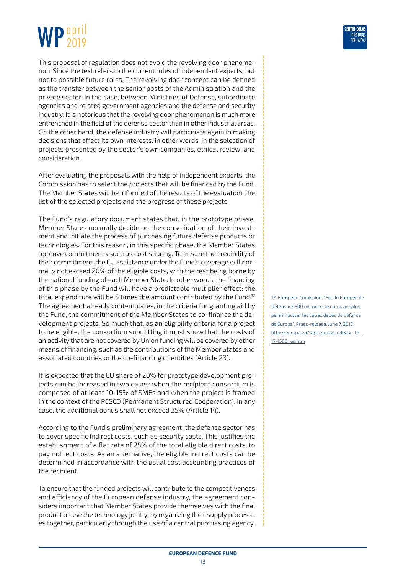This proposal of regulation does not avoid the revolving door phenomenon. Since the text refers to the current roles of independent experts, but not to possible future roles. The revolving door concept can be defined as the transfer between the senior posts of the Administration and the private sector. In the case, between Ministries of Defense, subordinate agencies and related government agencies and the defense and security industry. It is notorious that the revolving door phenomenon is much more entrenched in the field of the defense sector than in other industrial areas. On the other hand, the defense industry will participate again in making decisions that affect its own interests, in other words, in the selection of projects presented by the sector's own companies, ethical review, and consideration.

After evaluating the proposals with the help of independent experts, the Commission has to select the projects that will be financed by the Fund. The Member States will be informed of the results of the evaluation, the list of the selected projects and the progress of these projects.

The Fund's regulatory document states that, in the prototype phase, Member States normally decide on the consolidation of their investment and initiate the process of purchasing future defense products or technologies. For this reason, in this specific phase, the Member States approve commitments such as cost sharing. To ensure the credibility of their commitment, the EU assistance under the Fund's coverage will normally not exceed 20% of the eligible costs, with the rest being borne by the national funding of each Member State. In other words, the financing of this phase by the Fund will have a predictable multiplier effect: the total expenditure will be 5 times the amount contributed by the Fund.12 The agreement already contemplates, in the criteria for granting aid by the Fund, the commitment of the Member States to co-finance the development projects. So much that, as an eligibility criteria for a project to be eligible, the consortium submitting it must show that the costs of an activity that are not covered by Union funding will be covered by other means of financing, such as the contributions of the Member States and associated countries or the co-financing of entities (Article 23).

It is expected that the EU share of 20% for prototype development projects can be increased in two cases: when the recipient consortium is composed of at least 10-15% of SMEs and when the project is framed in the context of the PESCO (Permanent Structured Cooperation). In any case, the additional bonus shall not exceed 35% (Article 14).

According to the Fund's preliminary agreement, the defense sector has to cover specific indirect costs, such as security costs. This justifies the establishment of a flat rate of 25% of the total eligible direct costs, to pay indirect costs. As an alternative, the eligible indirect costs can be determined in accordance with the usual cost accounting practices of the recipient.

To ensure that the funded projects will contribute to the competitiveness and efficiency of the European defense industry, the agreement considers important that Member States provide themselves with the final product or use the technology jointly, by organizing their supply processes together, particularly through the use of a central purchasing agency.

12. European Comission, "Fondo Europeo de Defensa: 5 500 millones de euros anuales para impulsar las capacidades de defensa de Europa", Press-release, June 7, 2017. [http://europa.eu/rapid/press-release\\_IP-](http://europa.eu/rapid/press-release_IP-17-1508_es.htm)[17-1508\\_es.htm](http://europa.eu/rapid/press-release_IP-17-1508_es.htm)

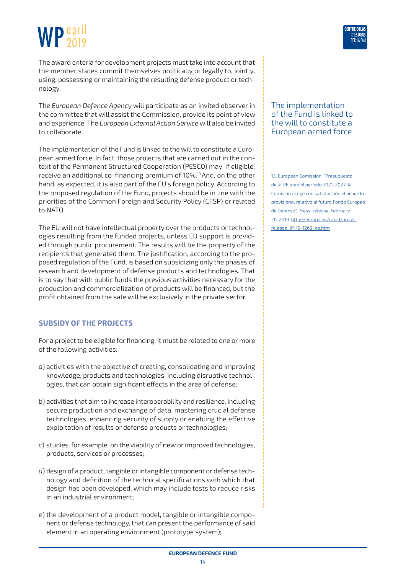#### WP april 2019

The award criteria for development projects must take into account that the member states commit themselves politically or legally to, jointly, using, possessing or maintaining the resulting defense product or technology.

The *European Defence Agency* will participate as an invited observer in the committee that will assist the Commission, provide its point of view and experience. The *European External Action Service* will also be invited to collaborate.

The implementation of the Fund is linked to the will to constitute a European armed force. In fact, those projects that are carried out in the context of the Permanent Structured Cooperation (PESCO) may, if eligible, receive an additional co-financing premium of 10%.13 And, on the other hand, as expected, it is also part of the EU's foreign policy. According to the proposed regulation of the Fund, projects should be in line with the priorities of the Common Foreign and Security Policy (CFSP) or related to NATO.

The EU will not have intellectual property over the products or technologies resulting from the funded projects, unless EU support is provided through public procurement. The results will be the property of the recipients that generated them. The justification, according to the proposed regulation of the Fund, is based on subsidizing only the phases of research and development of defense products and technologies. That is to say that with public funds the previous activities necessary for the production and commercialization of products will be financed, but the profit obtained from the sale will be exclusively in the private sector.

#### **Subsidy of the projects**

For a project to be eligible for financing, it must be related to one or more of the following activities:

- *a*) activities with the objective of creating, consolidating and improving knowledge, products and technologies, including disruptive technologies, that can obtain significant effects in the area of defense;
- *b*) activities that aim to increase interoperability and resilience, including secure production and exchange of data, mastering crucial defense technologies, enhancing security of supply or enabling the effective exploitation of results or defense products or technologies;
- *c*) studies, for example, on the viability of new or improved technologies, products, services or processes;
- *d*) design of a product, tangible or intangible component or defense technology and definition of the technical specifications with which that design has been developed, which may include tests to reduce risks in an industrial environment;
- *e*) the development of a product model, tangible or intangible component or defense technology, that can present the performance of said element in an operating environment (prototype system);

#### The implementation of the Fund is linked to the will to constitute a European armed force

13. European Comission, "Presupuesto de la UE para el período 2021-2027: la Comisión acoge con satisfacción el acuerdo provisional relativo al futuro Fondo Europeo de Defensa", Press-release, February 20, 2019. [http://europa.eu/rapid/press](http://europa.eu/rapid/press-release_IP-19-1269_es.htm)[release\\_IP-19-1269\\_es.htm](http://europa.eu/rapid/press-release_IP-19-1269_es.htm)

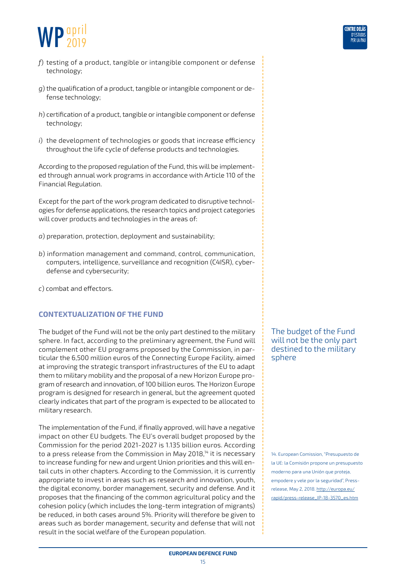

- *f*) testing of a product, tangible or intangible component or defense technology;
- *g*) the qualification of a product, tangible or intangible component or defense technology;
- *h*) certification of a product, tangible or intangible component or defense technology;
- *i*) the development of technologies or goods that increase efficiency throughout the life cycle of defense products and technologies.

According to the proposed regulation of the Fund, this will be implemented through annual work programs in accordance with Article 110 of the Financial Regulation.

Except for the part of the work program dedicated to disruptive technologies for defense applications, the research topics and project categories will cover products and technologies in the areas of:

- *a*) preparation, protection, deployment and sustainability;
- *b*) information management and command, control, communication, computers, intelligence, surveillance and recognition (C4ISR), cyberdefense and cybersecurity;
- *c*) combat and effectors.

#### **Contextualization of the Fund**

The budget of the Fund will not be the only part destined to the military sphere. In fact, according to the preliminary agreement, the Fund will complement other EU programs proposed by the Commission, in particular the 6,500 million euros of the Connecting Europe Facility, aimed at improving the strategic transport infrastructures of the EU to adapt them to military mobility and the proposal of a new Horizon Europe program of research and innovation, of 100 billion euros. The Horizon Europe program is designed for research in general, but the agreement quoted clearly indicates that part of the program is expected to be allocated to military research.

The implementation of the Fund, if finally approved, will have a negative impact on other EU budgets. The EU's overall budget proposed by the Commission for the period 2021-2027 is 1.135 billion euros. According to a press release from the Commission in May 2018,<sup>14</sup> it is necessary to increase funding for new and urgent Union priorities and this will entail cuts in other chapters. According to the Commission, it is currently appropriate to invest in areas such as research and innovation, youth, the digital economy, border management, security and defense. And it proposes that the financing of the common agricultural policy and the cohesion policy (which includes the long-term integration of migrants) be reduced, in both cases around 5%. Priority will therefore be given to areas such as border management, security and defense that will not result in the social welfare of the European population.

The budget of the Fund will not be the only part destined to the military sphere

14. European Comission, "Presupuesto de la UE: la Comisión propone un presupuesto moderno para una Unión que proteja, empodere y vele por la seguridad", Pressrelease, May 2, 2018. [http://europa.eu/](http://europa.eu/rapid/press-release_IP-18-3570_es.htm) [rapid/press-release\\_IP-18-3570\\_es.htm](http://europa.eu/rapid/press-release_IP-18-3570_es.htm)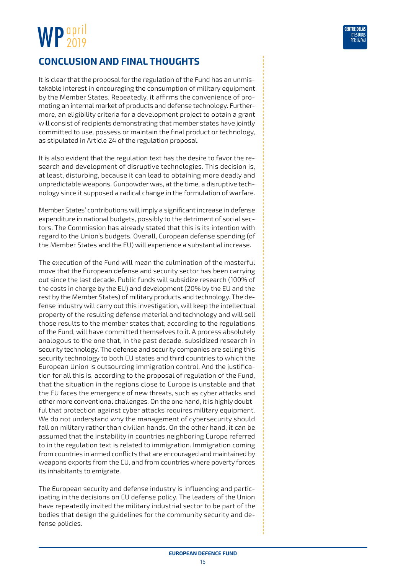<span id="page-15-0"></span>

It is clear that the proposal for the regulation of the Fund has an unmistakable interest in encouraging the consumption of military equipment by the Member States. Repeatedly, it affirms the convenience of promoting an internal market of products and defense technology. Furthermore, an eligibility criteria for a development project to obtain a grant will consist of recipients demonstrating that member states have jointly committed to use, possess or maintain the final product or technology, as stipulated in Article 24 of the regulation proposal.

It is also evident that the regulation text has the desire to favor the research and development of disruptive technologies. This decision is, at least, disturbing, because it can lead to obtaining more deadly and unpredictable weapons. Gunpowder was, at the time, a disruptive technology since it supposed a radical change in the formulation of warfare.

Member States' contributions will imply a significant increase in defense expenditure in national budgets, possibly to the detriment of social sectors. The Commission has already stated that this is its intention with regard to the Union's budgets. Overall, European defense spending (of the Member States and the EU) will experience a substantial increase.

The execution of the Fund will mean the culmination of the masterful move that the European defense and security sector has been carrying out since the last decade. Public funds will subsidize research (100% of the costs in charge by the EU) and development (20% by the EU and the rest by the Member States) of military products and technology. The defense industry will carry out this investigation, will keep the intellectual property of the resulting defense material and technology and will sell those results to the member states that, according to the regulations of the Fund, will have committed themselves to it. A process absolutely analogous to the one that, in the past decade, subsidized research in security technology. The defense and security companies are selling this security technology to both EU states and third countries to which the European Union is outsourcing immigration control. And the justification for all this is, according to the proposal of regulation of the Fund, that the situation in the regions close to Europe is unstable and that the EU faces the emergence of new threats, such as cyber attacks and other more conventional challenges. On the one hand, it is highly doubtful that protection against cyber attacks requires military equipment. We do not understand why the management of cybersecurity should fall on military rather than civilian hands. On the other hand, it can be assumed that the instability in countries neighboring Europe referred to in the regulation text is related to immigration. Immigration coming from countries in armed conflicts that are encouraged and maintained by weapons exports from the EU, and from countries where poverty forces its inhabitants to emigrate.

The European security and defense industry is influencing and participating in the decisions on EU defense policy. The leaders of the Union have repeatedly invited the military industrial sector to be part of the bodies that design the guidelines for the community security and defense policies.